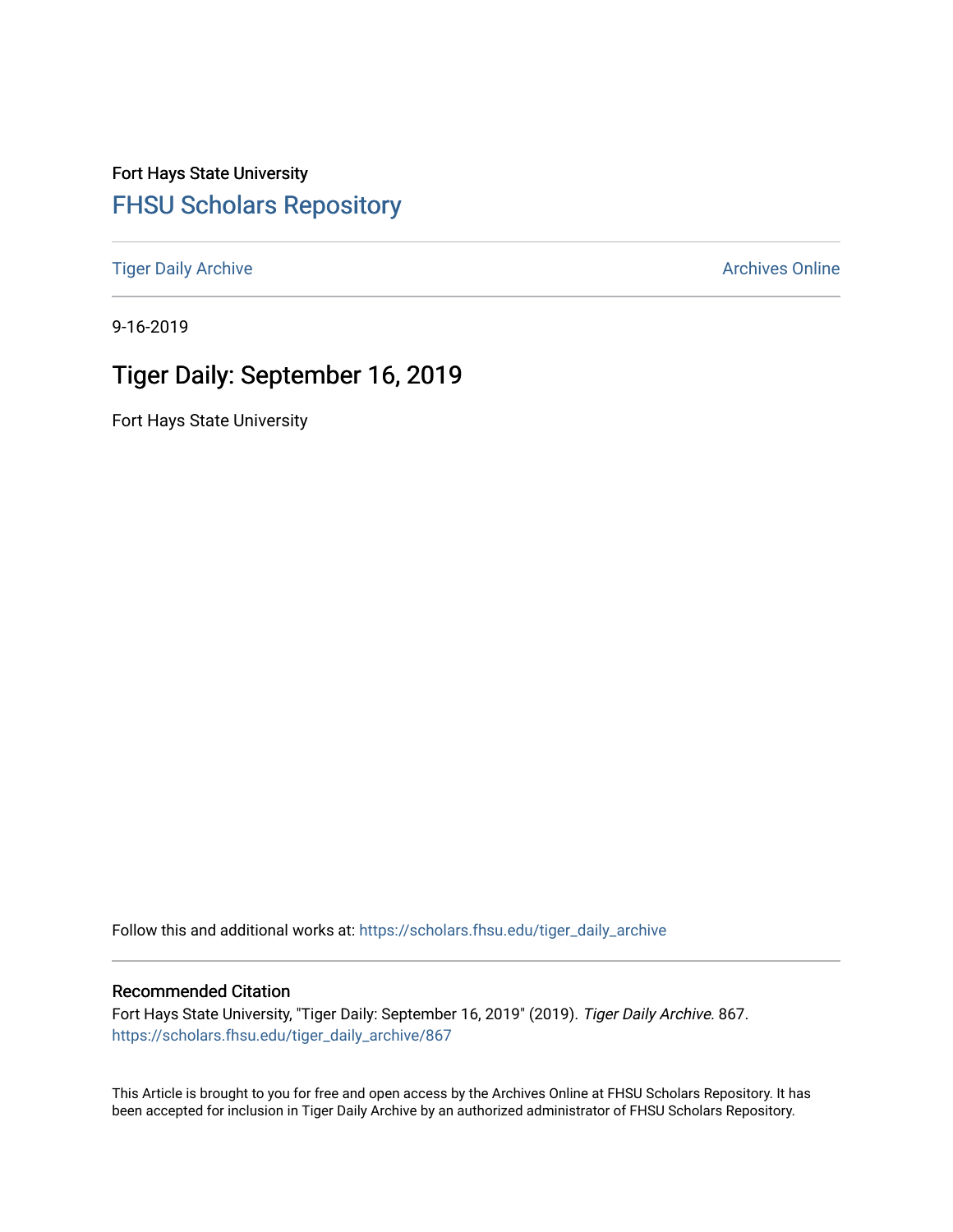Fort Hays State University [FHSU Scholars Repository](https://scholars.fhsu.edu/) 

[Tiger Daily Archive](https://scholars.fhsu.edu/tiger_daily_archive) **Archives** Online Archives Online

9-16-2019

# Tiger Daily: September 16, 2019

Fort Hays State University

Follow this and additional works at: [https://scholars.fhsu.edu/tiger\\_daily\\_archive](https://scholars.fhsu.edu/tiger_daily_archive?utm_source=scholars.fhsu.edu%2Ftiger_daily_archive%2F867&utm_medium=PDF&utm_campaign=PDFCoverPages)

#### Recommended Citation

Fort Hays State University, "Tiger Daily: September 16, 2019" (2019). Tiger Daily Archive. 867. [https://scholars.fhsu.edu/tiger\\_daily\\_archive/867](https://scholars.fhsu.edu/tiger_daily_archive/867?utm_source=scholars.fhsu.edu%2Ftiger_daily_archive%2F867&utm_medium=PDF&utm_campaign=PDFCoverPages)

This Article is brought to you for free and open access by the Archives Online at FHSU Scholars Repository. It has been accepted for inclusion in Tiger Daily Archive by an authorized administrator of FHSU Scholars Repository.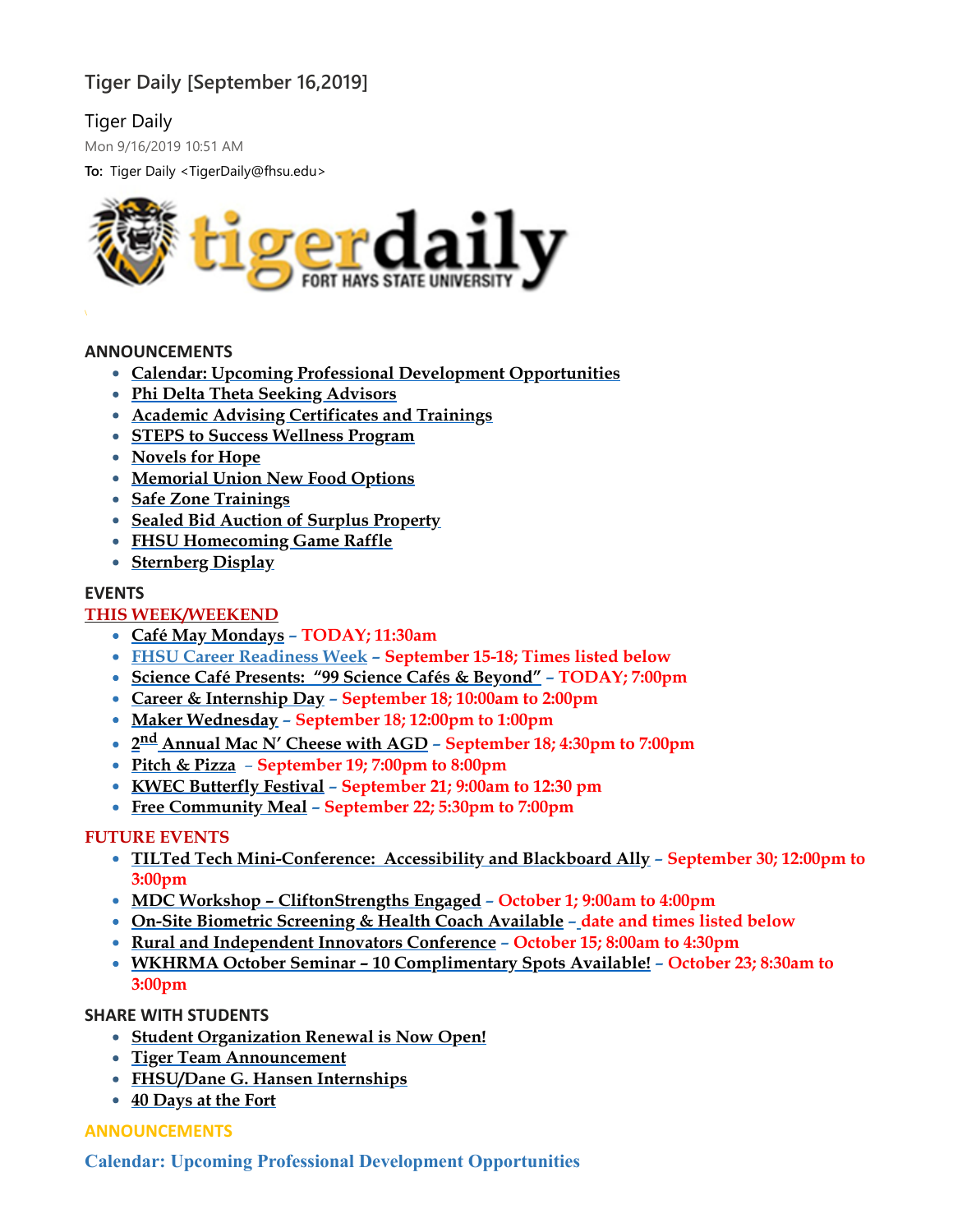# **Tiger Daily [September 16,2019]**

# Tiger Daily

Mon 9/16/2019 10:51 AM

**To:** Tiger Daily <TigerDaily@fhsu.edu>



# **ANNOUNCEMENTS**

- **Calendar: Upcoming Professional Development [Opportunities](#page-1-0)**
- **Phi Delta Theta Seeking [Advisors](#page-2-0)**
- **Academic Advising [Certificates](#page-2-1) and Trainings**
- **STEPS to Success [Wellness](#page-3-0) Program**
- **[Novels](#page-3-1) for Hope**
- **[Memorial](#page-4-0) Union New Food Options**
- **Safe Zone [Trainings](#page-4-1)**
- **Sealed Bid Auction of Surplus [Property](#page-4-2)**
- **FHSU [Homecoming](#page-4-3) Game Raffle**
- **[Sternberg](#page-4-4) Display**

#### **EVENTS**

# **THIS WEEK/WEEKEND**

- **Café May [Mondays](#page-5-0) – TODAY; 11:30am**
- **FHSU Career [Readiness](#page-5-1) Week – September 15-18; Times listed below**
- **Science Café [Presents:](#page-6-0) "99 Science Cafés & Beyond" – TODAY; 7:00pm**
- **Career & [Internship](#page-6-1) Day – September 18; 10:00am to 2:00pm**
- **Maker [Wednesday](#page-6-2) – September 18; 12:00pm to 1:00pm**
- **2 nd [Annual](#page-6-3) Mac N' Cheese with AGD – September 18; 4:30pm to 7:00pm**
- **Pitch & [Pizza](#page-7-0) September 19; 7:00pm to 8:00pm**
- **KWEC [Butterfly](#page-7-1) Festival – September 21; 9:00am to 12:30 pm**
- **Free [Community](#page-7-2) Meal – September 22; 5:30pm to 7:00pm**

# **FUTURE EVENTS**

- **TILTed Tech [Mini-Conference:](#page-7-3) Accessibility and Blackboard Ally – September 30; 12:00pm to 3:00pm**
- **MDC Workshop – [CliftonStrengths](#page-8-0) Engaged – October 1; 9:00am to 4:00pm**
- **On-Site Biometric [Screening](#page-9-0) & Health Coach Available – date and times listed below**
- **Rural and [Independent](#page-8-1) Innovators Conference – October 15; 8:00am to 4:30pm**
- **WKHRMA October Seminar – 10 [Complimentary](#page-9-1) Spots Available! – October 23; 8:30am to 3:00pm**

# **SHARE WITH STUDENTS**

- **Student [Organization](#page-10-0) Renewal is Now Open!**
- **Tiger Team [Announcement](#page-10-1)**
- **[FHSU/Dane](#page-10-2) G. Hansen Internships**
- <span id="page-1-0"></span>**40 [Days](#page-11-0) at the Fort**

# **ANNOUNCEMENTS**

**Calendar: Upcoming Professional Development Opportunities**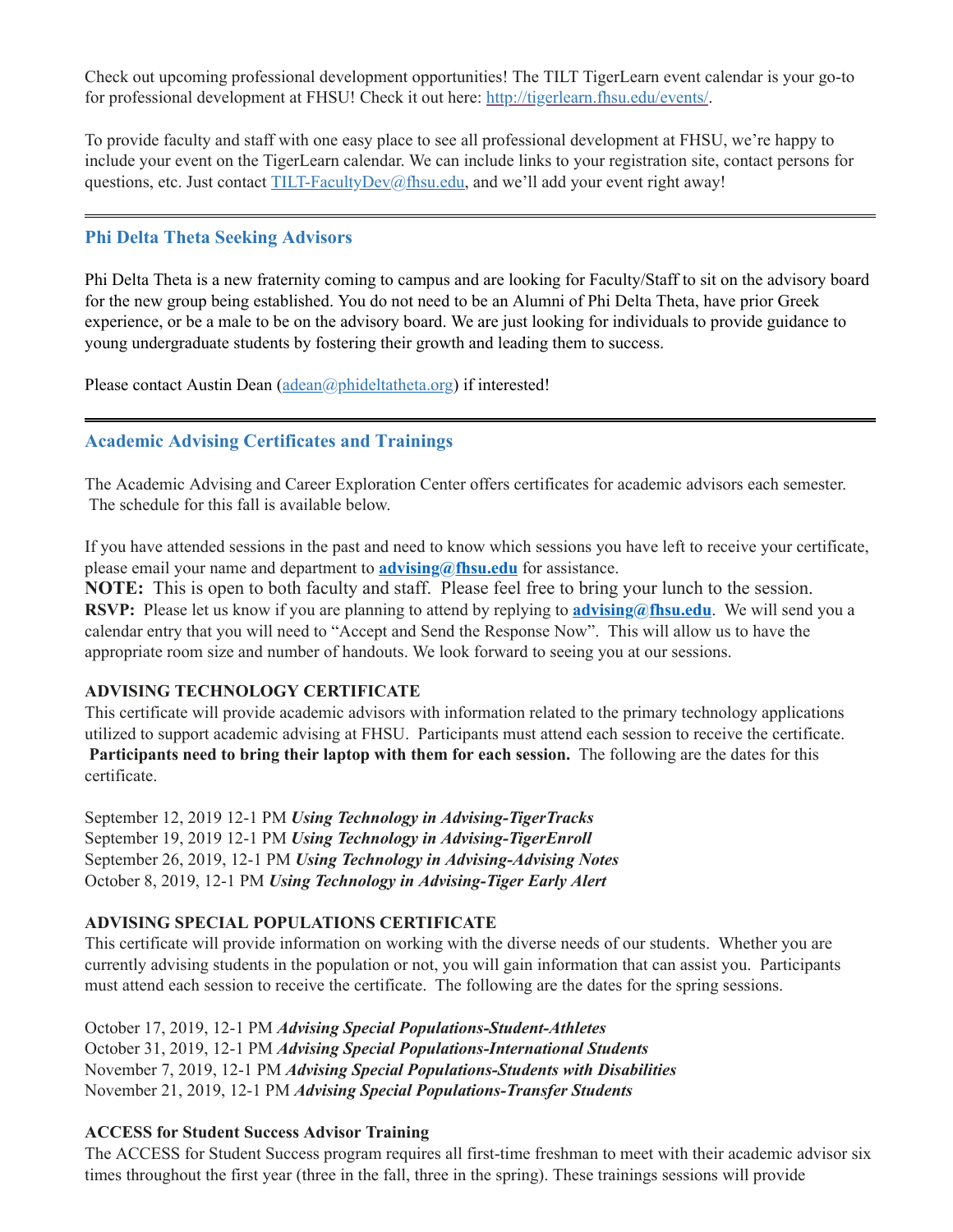Check out upcoming professional development opportunities! The TILT TigerLearn event calendar is your go-to for professional development at FHSU! Check it out here: [http://tigerlearn.fhsu.edu/events/.](http://tigerlearn.fhsu.edu/events/)

To provide faculty and staff with one easy place to see all professional development at FHSU, we're happy to include your event on the TigerLearn calendar. We can include links to your registration site, contact persons for questions, etc. Just contact [TILT-FacultyDev@fhsu.edu,](mailto:TILT-FacultyDev@fhsu.edu) and we'll add your event right away!

# <span id="page-2-0"></span>**Phi Delta Theta Seeking Advisors**

Phi Delta Theta is a new fraternity coming to campus and are looking for Faculty/Staff to sit on the advisory board for the new group being established. You do not need to be an Alumni of Phi Delta Theta, have prior Greek experience, or be a male to be on the advisory board. We are just looking for individuals to provide guidance to young undergraduate students by fostering their growth and leading them to success.

Please contact Austin Dean [\(adean@phideltatheta.org\)](mailto:adean@phideltatheta.org) if interested!

# <span id="page-2-1"></span>**Academic Advising Certificates and Trainings**

The Academic Advising and Career Exploration Center offers certificates for academic advisors each semester. The schedule for this fall is available below.

If you have attended sessions in the past and need to know which sessions you have left to receive your certificate, please email your name and department to **[advising@fhsu.edu](mailto:advising@fhsu.edu)** for assistance.

**NOTE:** This is open to both faculty and staff. Please feel free to bring your lunch to the session. **RSVP:** Please let us know if you are planning to attend by replying to **[advising@fhsu.edu](mailto:advising@fhsu.edu)**. We will send you a calendar entry that you will need to "Accept and Send the Response Now". This will allow us to have the appropriate room size and number of handouts. We look forward to seeing you at our sessions.

# **ADVISING TECHNOLOGY CERTIFICATE**

This certificate will provide academic advisors with information related to the primary technology applications utilized to support academic advising at FHSU. Participants must attend each session to receive the certificate. **Participants need to bring their laptop with them for each session.** The following are the dates for this certificate.

September 12, 2019 12-1 PM *Using Technology in Advising-TigerTracks* September 19, 2019 12-1 PM *Using Technology in Advising-TigerEnroll* September 26, 2019, 12-1 PM *Using Technology in Advising-Advising Notes* October 8, 2019, 12-1 PM *Using Technology in Advising-Tiger Early Alert*

# **ADVISING SPECIAL POPULATIONS CERTIFICATE**

This certificate will provide information on working with the diverse needs of our students. Whether you are currently advising students in the population or not, you will gain information that can assist you. Participants must attend each session to receive the certificate. The following are the dates for the spring sessions.

October 17, 2019, 12-1 PM *Advising Special Populations-Student-Athletes* October 31, 2019, 12-1 PM *Advising Special Populations-International Students* November 7, 2019, 12-1 PM *Advising Special Populations-Students with Disabilities* November 21, 2019, 12-1 PM *Advising Special Populations-Transfer Students*

# **ACCESS for Student Success Advisor Training**

The ACCESS for Student Success program requires all first-time freshman to meet with their academic advisor six times throughout the first year (three in the fall, three in the spring). These trainings sessions will provide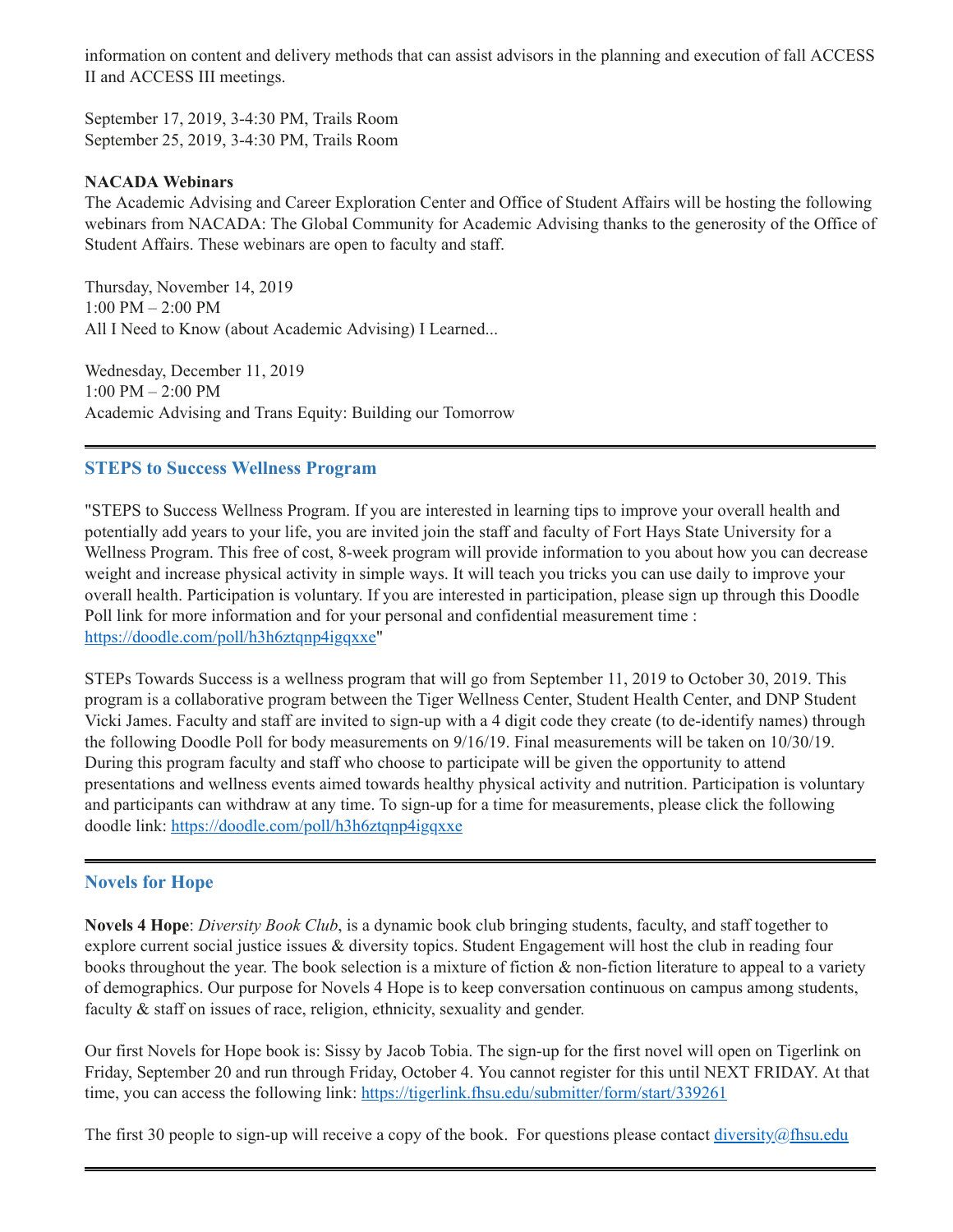information on content and delivery methods that can assist advisors in the planning and execution of fall ACCESS II and ACCESS III meetings.

September 17, 2019, 3-4:30 PM, Trails Room September 25, 2019, 3-4:30 PM, Trails Room

#### **NACADA Webinars**

The Academic Advising and Career Exploration Center and Office of Student Affairs will be hosting the following webinars from NACADA: The Global Community for Academic Advising thanks to the generosity of the Office of Student Affairs. These webinars are open to faculty and staff.

Thursday, November 14, 2019 1:00 PM – 2:00 PM All I Need to Know (about Academic Advising) I Learned...

Wednesday, December 11, 2019 1:00 PM – 2:00 PM Academic Advising and Trans Equity: Building our Tomorrow

# <span id="page-3-0"></span>**STEPS to Success Wellness Program**

"STEPS to Success Wellness Program. If you are interested in learning tips to improve your overall health and potentially add years to your life, you are invited join the staff and faculty of Fort Hays State University for a Wellness Program. This free of cost, 8-week program will provide information to you about how you can decrease weight and increase physical activity in simple ways. It will teach you tricks you can use daily to improve your overall health. Participation is voluntary. If you are interested in participation, please sign up through this Doodle Poll link for more information and for your personal and confidential measurement time : [https://doodle.com/poll/h3h6ztqnp4igqxxe"](https://doodle.com/poll/h3h6ztqnp4igqxxe)

STEPs Towards Success is a wellness program that will go from September 11, 2019 to October 30, 2019. This program is a collaborative program between the Tiger Wellness Center, Student Health Center, and DNP Student Vicki James. Faculty and staff are invited to sign-up with a 4 digit code they create (to de-identify names) through the following Doodle Poll for body measurements on 9/16/19. Final measurements will be taken on 10/30/19. During this program faculty and staff who choose to participate will be given the opportunity to attend presentations and wellness events aimed towards healthy physical activity and nutrition. Participation is voluntary and participants can withdraw at any time. To sign-up for a time for measurements, please click the following doodle link: <https://doodle.com/poll/h3h6ztqnp4igqxxe>

# <span id="page-3-1"></span>**Novels for Hope**

**Novels 4 Hope**: *Diversity Book Club*, is a dynamic book club bringing students, faculty, and staff together to explore current social justice issues & diversity topics. Student Engagement will host the club in reading four books throughout the year. The book selection is a mixture of fiction & non-fiction literature to appeal to a variety of demographics. Our purpose for Novels 4 Hope is to keep conversation continuous on campus among students, faculty & staff on issues of race, religion, ethnicity, sexuality and gender.

Our first Novels for Hope book is: Sissy by Jacob Tobia. The sign-up for the first novel will open on Tigerlink on Friday, September 20 and run through Friday, October 4. You cannot register for this until NEXT FRIDAY. At that time, you can access the following link: <https://tigerlink.fhsu.edu/submitter/form/start/339261>

The first 30 people to sign-up will receive a copy of the book. For questions please contact [diversity@fhsu.edu](mailto:diversity@fhsu.edu)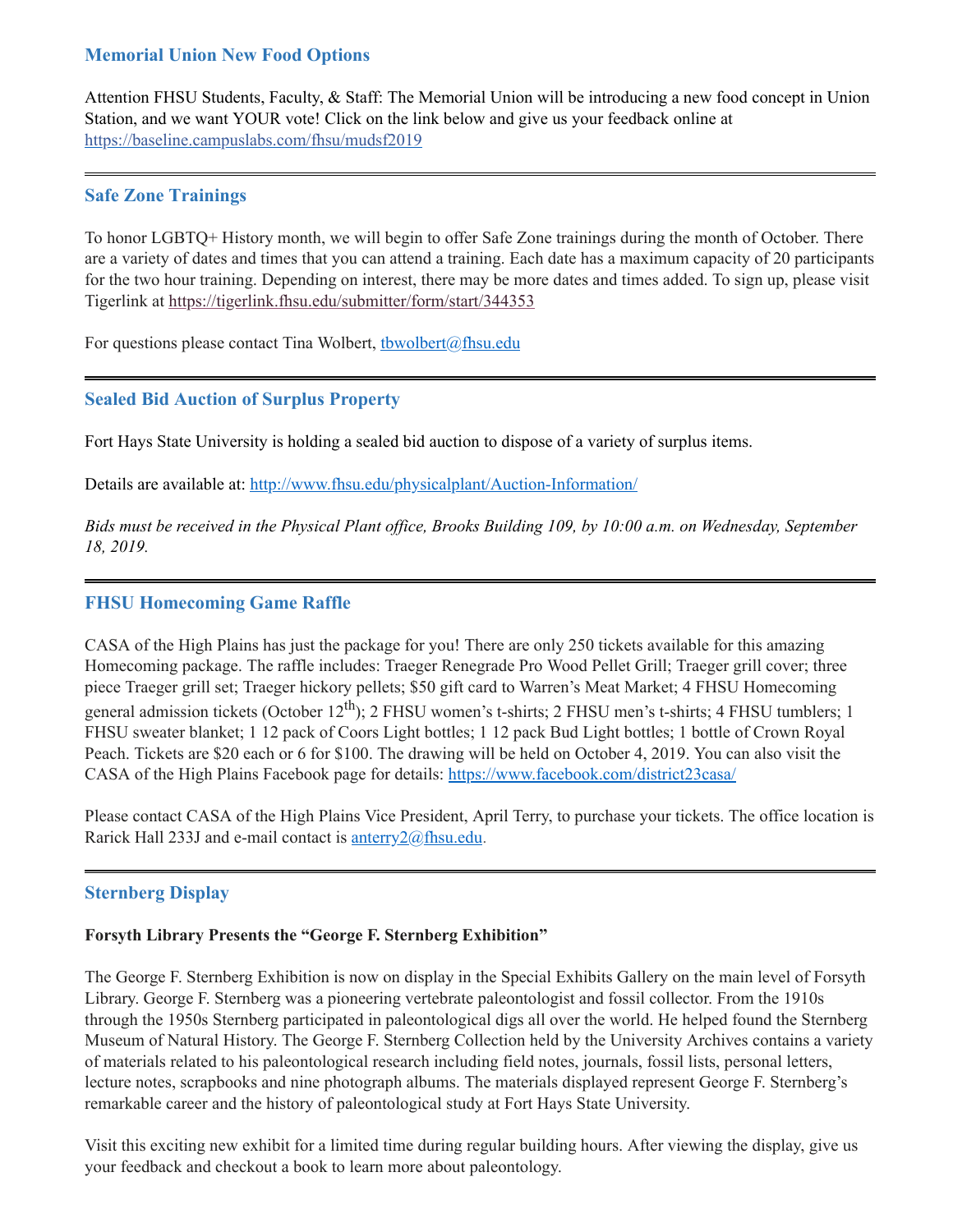# <span id="page-4-0"></span>**Memorial Union New Food Options**

Attention FHSU Students, Faculty, & Staff: The Memorial Union will be introducing a new food concept in Union Station, and we want YOUR vote! Click on the link below and give us your feedback online at [https://baseline.campuslabs.com/fhsu/mudsf2019](https://baseline.campuslabs.com/fhsu/mudsf2019?fbclid=IwAR3O8zzAn7DkBeKqLu3iaV89j9ZSiFTkA9kTScfRPj9T1CWy5ScyAvUwaG0)

# <span id="page-4-1"></span>**Safe Zone Trainings**

To honor LGBTQ+ History month, we will begin to offer Safe Zone trainings during the month of October. There are a variety of dates and times that you can attend a training. Each date has a maximum capacity of 20 participants for the two hour training. Depending on interest, there may be more dates and times added. To sign up, please visit Tigerlink at <https://tigerlink.fhsu.edu/submitter/form/start/344353>

For questions please contact Tina Wolbert, thwolbert $(a)$ fhsu.edu

# <span id="page-4-2"></span>**Sealed Bid Auction of Surplus Property**

Fort Hays State University is holding a sealed bid auction to dispose of a variety of surplus items.

Details are available at: <http://www.fhsu.edu/physicalplant/Auction-Information/>

Bids must be received in the Physical Plant office, Brooks Building 109, by 10:00 a.m. on Wednesday, September *18, 2019.*

# <span id="page-4-3"></span>**FHSU Homecoming Game Raffle**

CASA of the High Plains has just the package for you! There are only 250 tickets available for this amazing Homecoming package. The raffle includes: Traeger Renegrade Pro Wood Pellet Grill; Traeger grill cover; three piece Traeger grill set; Traeger hickory pellets; \$50 gift card to Warren's Meat Market; 4 FHSU Homecoming general admission tickets (October 12<sup>th</sup>); 2 FHSU women's t-shirts; 2 FHSU men's t-shirts; 4 FHSU tumblers; 1 FHSU sweater blanket; 1 12 pack of Coors Light bottles; 1 12 pack Bud Light bottles; 1 bottle of Crown Royal Peach. Tickets are \$20 each or 6 for \$100. The drawing will be held on October 4, 2019. You can also visit the CASA of the High Plains Facebook page for details: <https://www.facebook.com/district23casa/>

Please contact CASA of the High Plains Vice President, April Terry, to purchase your tickets. The office location is Rarick Hall 233J and e-mail contact is **[anterry2@fhsu.edu](mailto:anterry2@fhsu.edu)**.

# <span id="page-4-4"></span>**Sternberg Display**

# **Forsyth Library Presents the "George F. Sternberg Exhibition"**

The George F. Sternberg Exhibition is now on display in the Special Exhibits Gallery on the main level of Forsyth Library. George F. Sternberg was a pioneering vertebrate paleontologist and fossil collector. From the 1910s through the 1950s Sternberg participated in paleontological digs all over the world. He helped found the Sternberg Museum of Natural History. The George F. Sternberg Collection held by the University Archives contains a variety of materials related to his paleontological research including field notes, journals, fossil lists, personal letters, lecture notes, scrapbooks and nine photograph albums. The materials displayed represent George F. Sternberg's remarkable career and the history of paleontological study at Fort Hays State University.

Visit this exciting new exhibit for a limited time during regular building hours. After viewing the display, give us your feedback and checkout a book to learn more about paleontology.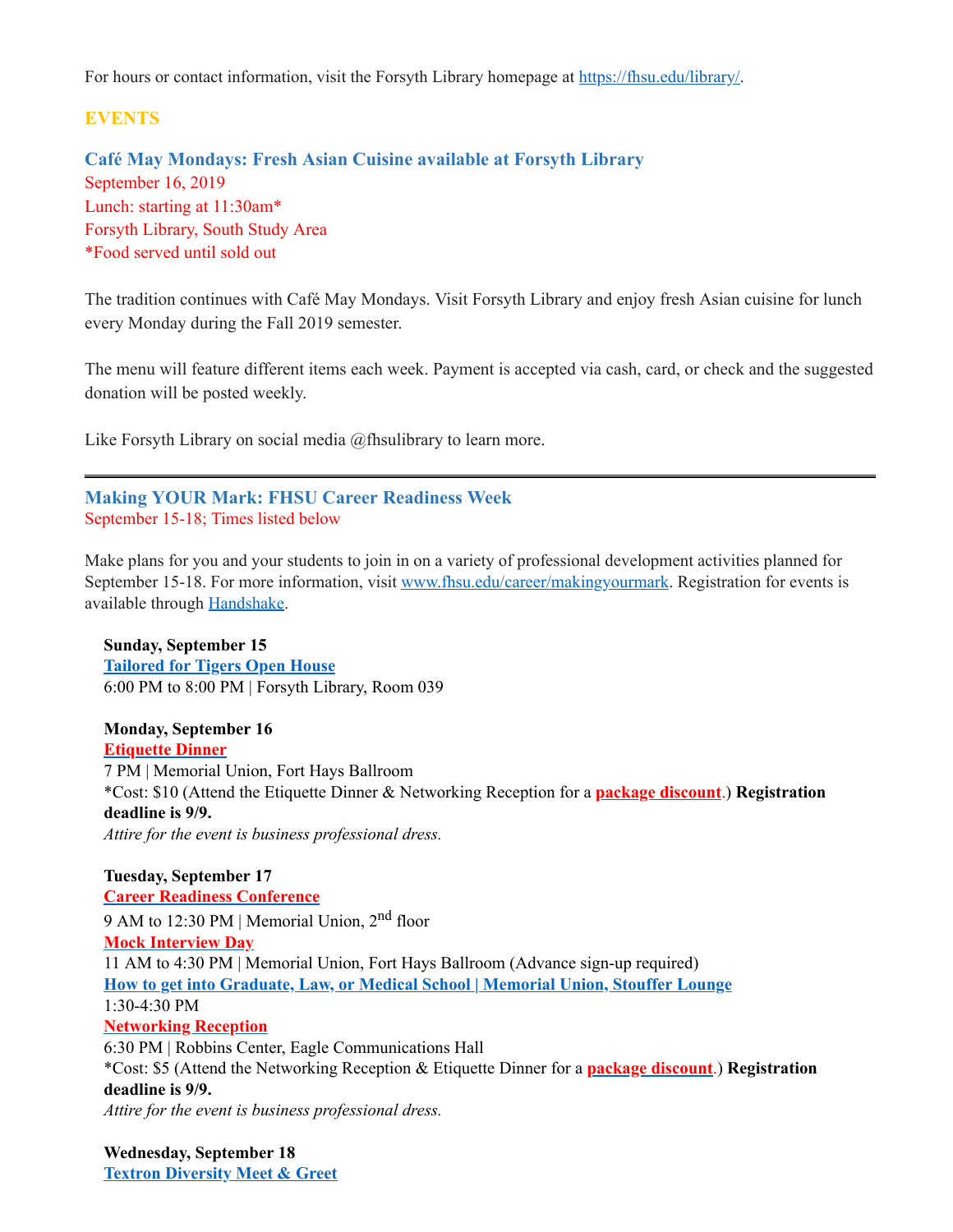For hours or contact information, visit the Forsyth Library homepage at <https://fhsu.edu/library/>.

# **EVENTS**

<span id="page-5-0"></span>**Café May Mondays: Fresh Asian Cuisine available at Forsyth Library** September 16, 2019 Lunch: starting at 11:30am\* Forsyth Library, South Study Area \*Food served until sold out

The tradition continues with Café May Mondays. Visit Forsyth Library and enjoy fresh Asian cuisine for lunch every Monday during the Fall 2019 semester.

The menu will feature different items each week. Payment is accepted via cash, card, or check and the suggested donation will be posted weekly.

Like Forsyth Library on social media @fhsulibrary to learn more.

# <span id="page-5-1"></span>**Making YOUR Mark: FHSU Career Readiness Week** September 15-18; Times listed below

Make plans for you and your students to join in on a variety of professional development activities planned for September 15-18. For more information, visit [www.fhsu.edu/career/makingyourmark.](http://www.fhsu.edu/career/makingyourmark) Registration for events is available through [Handshake.](https://fhsu.joinhandshake.com/login)

**Sunday, September 15 [Tailored](https://fhsu.joinhandshake.com/events/316471/share_preview) for Tigers Open House** 6:00 PM to 8:00 PM | Forsyth Library, Room 039

**Monday, September 16 [Etiquette](https://fhsu.joinhandshake.com/events/324687/share_preview) Dinner** 7 PM | Memorial Union, Fort Hays Ballroom \*Cost: \$10 (Attend the Etiquette Dinner & Networking Reception for a **package [discount](https://fhsu.joinhandshake.com/events/324702/share_preview)**.) **Registration deadline is 9/9.** *Attire for the event is business professional dress.*

**Tuesday, September 17 Career Readiness [Conference](https://fhsu.joinhandshake.com/events/323674/share_preview)** 9 AM to 12:30 PM | Memorial Union, 2<sup>nd</sup> floor **Mock [Interview](https://fhsu.joinhandshake.com/jobs/2908242/share_preview) Day** 11 AM to 4:30 PM | Memorial Union, Fort Hays Ballroom (Advance sign-up required) **How to get into [Graduate,](https://fhsu.joinhandshake.com/events/330263/share_preview) Law, or Medical School | Memorial Union, Stouffer Lounge** 1:30-4:30 PM **[Networking](https://fhsu.joinhandshake.com/events/324701/share_preview) Reception** 6:30 PM | Robbins Center, Eagle Communications Hall \*Cost: \$5 (Attend the Networking Reception & Etiquette Dinner for a **package [discount](https://fhsu.joinhandshake.com/events/324702/share_preview)**.) **Registration deadline is 9/9.** *Attire for the event is business professional dress.*

**Wednesday, September 18 Textron [Diversity](https://fhsu.joinhandshake.com/events/325966/share_preview) Meet & Greet**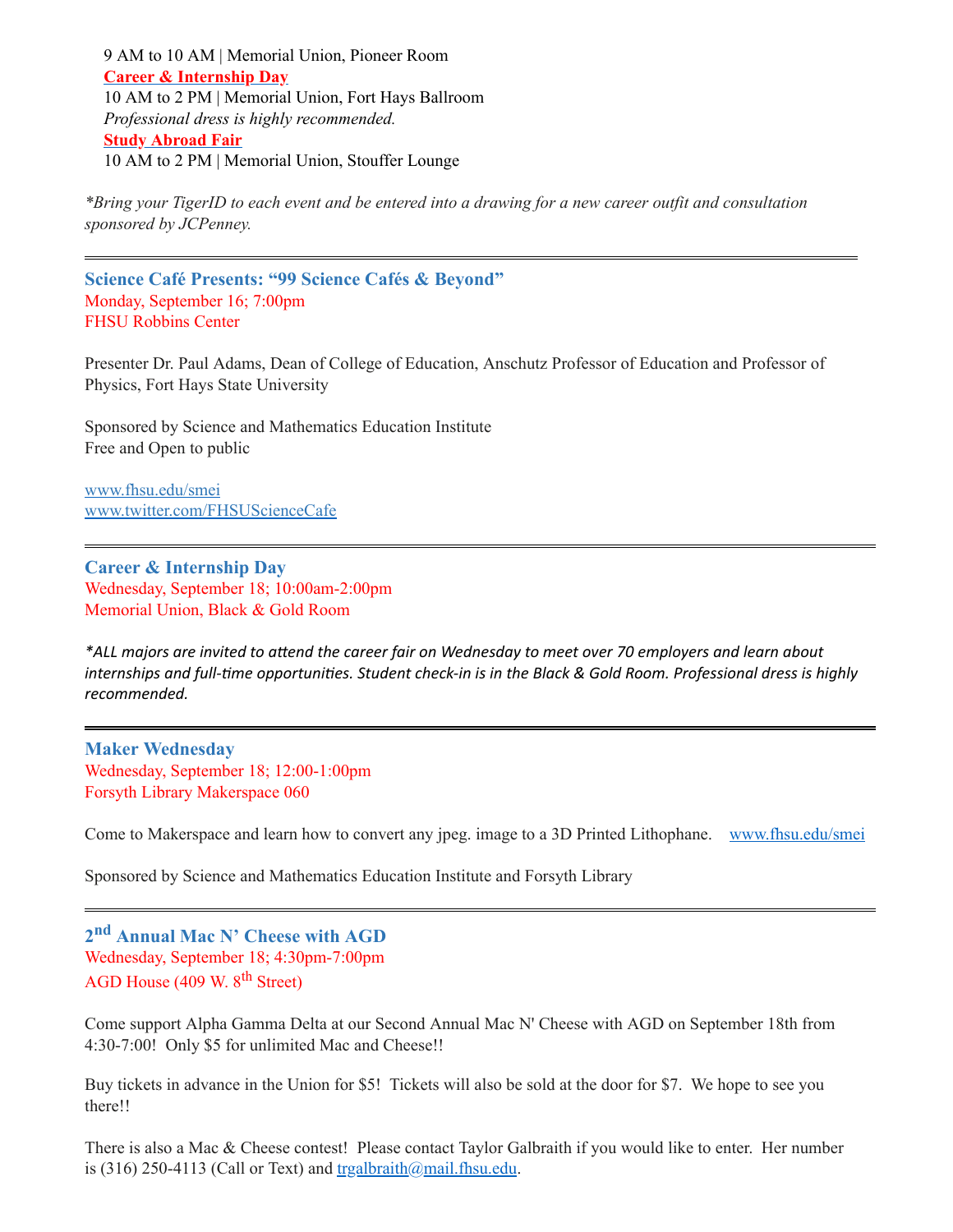9 AM to 10 AM | Memorial Union, Pioneer Room **Career & [Internship](https://fhsu.joinhandshake.com/career_fairs/11008/student_preview) Day** 10 AM to 2 PM | Memorial Union, Fort Hays Ballroom *Professional dress is highly recommended.* **Study [Abroad](https://fhsu.joinhandshake.com/events/323587/share_preview) Fair** 10 AM to 2 PM | Memorial Union, Stouffer Lounge

\*Bring your TigerID to each event and be entered into a drawing for a new career outfit and consultation *sponsored by JCPenney.*

<span id="page-6-0"></span>**Science Café Presents: "99 Science Cafés & Beyond"** Monday, September 16; 7:00pm FHSU Robbins Center

Presenter Dr. Paul Adams, Dean of College of Education, Anschutz Professor of Education and Professor of Physics, Fort Hays State University

Sponsored by Science and Mathematics Education Institute Free and Open to public

[www.fhsu.edu/smei](http://www.fhsu.edu/smei) [www.twitter.com/FHSUScienceCafe](http://www.twitter.com/FHSUScienceCafe)

<span id="page-6-1"></span>**Career & Internship Day** Wednesday, September 18; 10:00am-2:00pm Memorial Union, Black & Gold Room

\*ALL majors are invited to attend the career fair on Wednesday to meet over 70 employers and learn about internships and full-time opportunities. Student check-in is in the Black & Gold Room. Professional dress is highly *recommended.*

<span id="page-6-2"></span>**Maker Wednesday** Wednesday, September 18; 12:00-1:00pm Forsyth Library Makerspace 060

Come to Makerspace and learn how to convert any jpeg. image to a 3D Printed Lithophane. [www.fhsu.edu/smei](http://www.fhsu.edu/smei)

Sponsored by Science and Mathematics Education Institute and Forsyth Library

<span id="page-6-3"></span>**2 nd Annual Mac N' Cheese with AGD** Wednesday, September 18; 4:30pm-7:00pm AGD House (409 W. 8<sup>th</sup> Street)

Come support Alpha Gamma Delta at our Second Annual Mac N' Cheese with AGD on September 18th from 4:30-7:00! Only \$5 for unlimited Mac and Cheese!!

Buy tickets in advance in the Union for \$5! Tickets will also be sold at the door for \$7. We hope to see you there!!

There is also a Mac & Cheese contest! Please contact Taylor Galbraith if you would like to enter. Her number is (316) 250-4113 (Call or Text) and  $tragalbraith@mail.fhsu.edu.$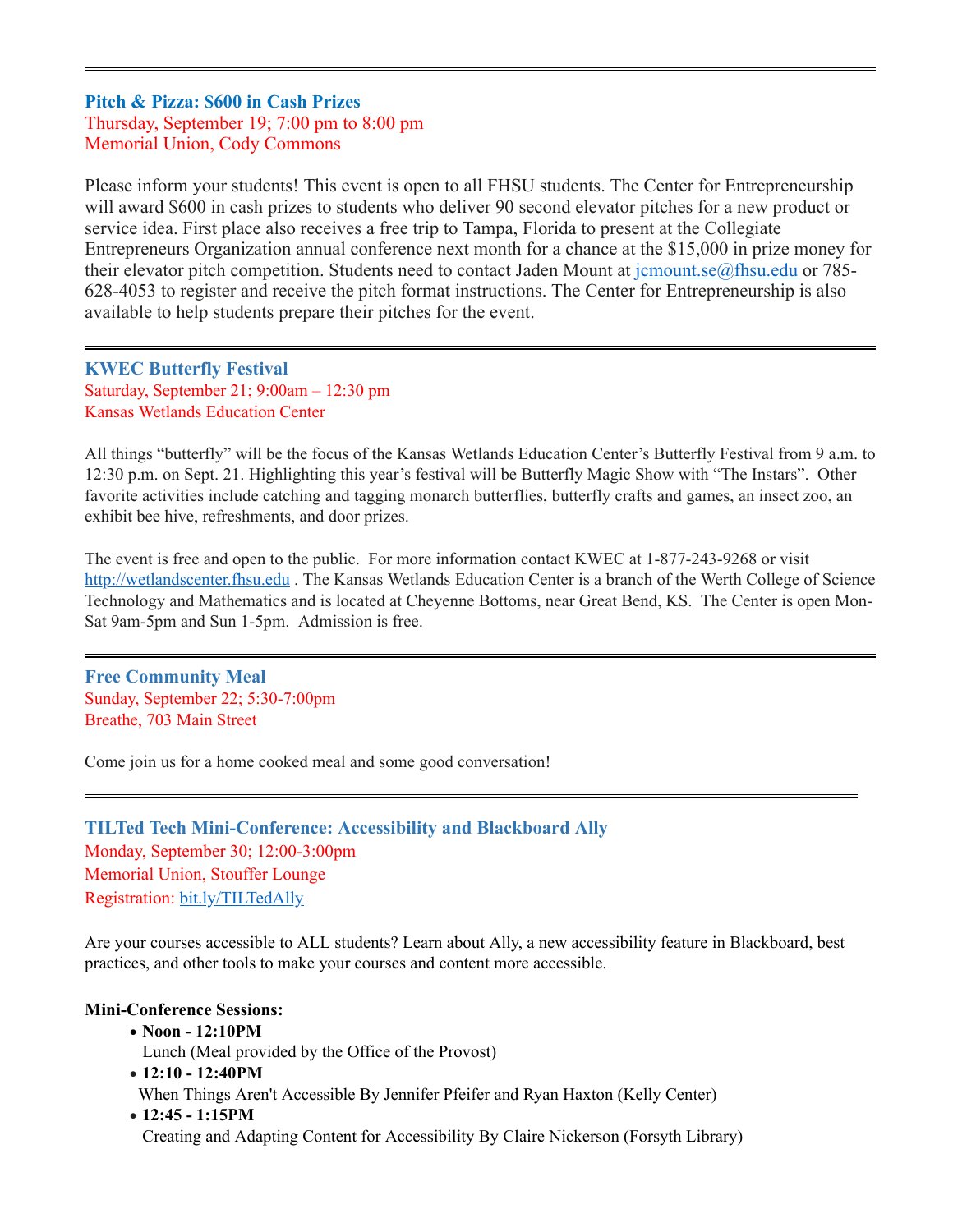# <span id="page-7-0"></span>**Pitch & Pizza: \$600 in Cash Prizes** Thursday, September 19; 7:00 pm to 8:00 pm Memorial Union, Cody Commons

Please inform your students! This event is open to all FHSU students. The Center for Entrepreneurship will award \$600 in cash prizes to students who deliver 90 second elevator pitches for a new product or service idea. First place also receives a free trip to Tampa, Florida to present at the Collegiate Entrepreneurs Organization annual conference next month for a chance at the \$15,000 in prize money for their elevator pitch competition. Students need to contact Jaden Mount at journal sequence or 785-628-4053 to register and receive the pitch format instructions. The Center for Entrepreneurship is also available to help students prepare their pitches for the event.

<span id="page-7-1"></span>**KWEC Butterfly Festival**  Saturday, September 21; 9:00am – 12:30 pm Kansas Wetlands Education Center

All things "butterfly" will be the focus of the Kansas Wetlands Education Center's Butterfly Festival from 9 a.m. to 12:30 p.m. on Sept. 21. Highlighting this year's festival will be Butterfly Magic Show with "The Instars". Other favorite activities include catching and tagging monarch butterflies, butterfly crafts and games, an insect zoo, an exhibit bee hive, refreshments, and door prizes.

The event is free and open to the public. For more information contact KWEC at 1-877-243-9268 or visit [http://wetlandscenter.fhsu.edu](http://wetlandscenter.fhsu.edu/) . The Kansas Wetlands Education Center is a branch of the Werth College of Science Technology and Mathematics and is located at Cheyenne Bottoms, near Great Bend, KS. The Center is open Mon-Sat 9am-5pm and Sun 1-5pm. Admission is free.

<span id="page-7-2"></span>**Free Community Meal** Sunday, September 22; 5:30-7:00pm Breathe, 703 Main Street

Come join us for a home cooked meal and some good conversation!

<span id="page-7-3"></span>**TILTed Tech Mini-Conference: Accessibility and Blackboard Ally** Monday, September 30; 12:00-3:00pm Memorial Union, Stouffer Lounge Registration: [bit.ly/TILTedAlly](http://bit.ly/TILTedAlly)

Are your courses accessible to ALL students? Learn about Ally, a new accessibility feature in Blackboard, best practices, and other tools to make your courses and content more accessible.

#### **Mini-Conference Sessions:**

· **Noon - 12:10PM**

Lunch (Meal provided by the Office of the Provost)

- · **12:10 - 12:40PM** When Things Aren't Accessible By Jennifer Pfeifer and Ryan Haxton (Kelly Center)
- · **12:45 - 1:15PM** Creating and Adapting Content for Accessibility By Claire Nickerson (Forsyth Library)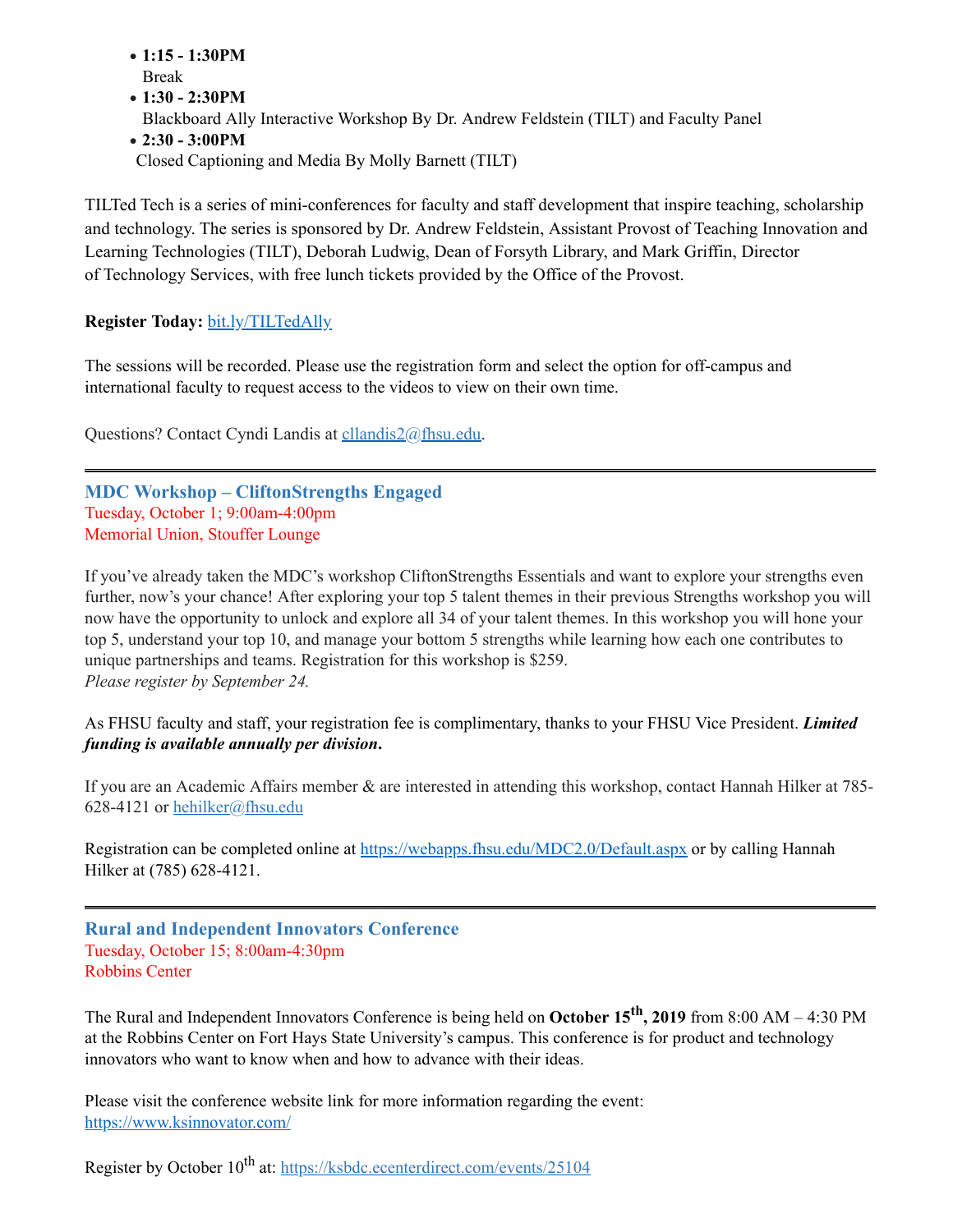- · **1:15 - 1:30PM** Break
- · **1:30 - 2:30PM**
- Blackboard Ally Interactive Workshop By Dr. Andrew Feldstein (TILT) and Faculty Panel
- · **2:30 - 3:00PM**

Closed Captioning and Media By Molly Barnett (TILT)

TILTed Tech is a series of mini-conferences for faculty and staff development that inspire teaching, scholarship and technology. The series is sponsored by Dr. Andrew Feldstein, Assistant Provost of Teaching Innovation and Learning Technologies (TILT), Deborah Ludwig, Dean of Forsyth Library, and Mark Griffin, Director of Technology Services, with free lunch tickets provided by the Office of the Provost.

# **Register Today:** [bit.ly/TILTedAlly](http://bit.ly/TILTedAlly)

The sessions will be recorded. Please use the registration form and select the option for off-campus and international faculty to request access to the videos to view on their own time.

Questions? Contact Cyndi Landis at [cllandis2@fhsu.edu.](mailto:cllandis2@fhsu.edu)

<span id="page-8-0"></span>**MDC Workshop – CliftonStrengths Engaged** Tuesday, October 1; 9:00am-4:00pm Memorial Union, Stouffer Lounge

If you've already taken the MDC's workshop CliftonStrengths Essentials and want to explore your strengths even further, now's your chance! After exploring your top 5 talent themes in their previous Strengths workshop you will now have the opportunity to unlock and explore all 34 of your talent themes. In this workshop you will hone your top 5, understand your top 10, and manage your bottom 5 strengths while learning how each one contributes to unique partnerships and teams. Registration for this workshop is \$259. *Please register by September 24.*

As FHSU faculty and staff, your registration fee is complimentary, thanks to your FHSU Vice President. *Limited funding is available annually per division***.**

If you are an Academic Affairs member & are interested in attending this workshop, contact Hannah Hilker at 785- 628-4121 or [hehilker@fhsu.edu](mailto:hehilker@fhsu.edu)

Registration can be completed online at <https://webapps.fhsu.edu/MDC2.0/Default.aspx> or by calling Hannah Hilker at (785) 628-4121.

<span id="page-8-1"></span>**Rural and Independent Innovators Conference** Tuesday, October 15; 8:00am-4:30pm Robbins Center

The Rural and Independent Innovators Conference is being held on **October 15 th , 2019** from 8:00 AM – 4:30 PM at the Robbins Center on Fort Hays State University's campus. This conference is for product and technology innovators who want to know when and how to advance with their ideas.

Please visit the conference website link for more information regarding the event: [https://www.ksinnovator.com/](https://linkprotect.cudasvc.com/url?a=https%3a%2f%2fwww.ksinnovator.com%2f&c=E,1,VmjRgormpxBBwnH0rotD4QTRl5JXVsVpT5lDsDRIxeQjZM9QtBPyYRn-Nbro7QLgMS3uD1KyfOBYrnVhuDyqC2edXlbzdCu1z5tqRlqNNlA9zc5GTQ,,&typo=1)

Register by October 10<sup>th</sup> at: <https://ksbdc.ecenterdirect.com/events/25104>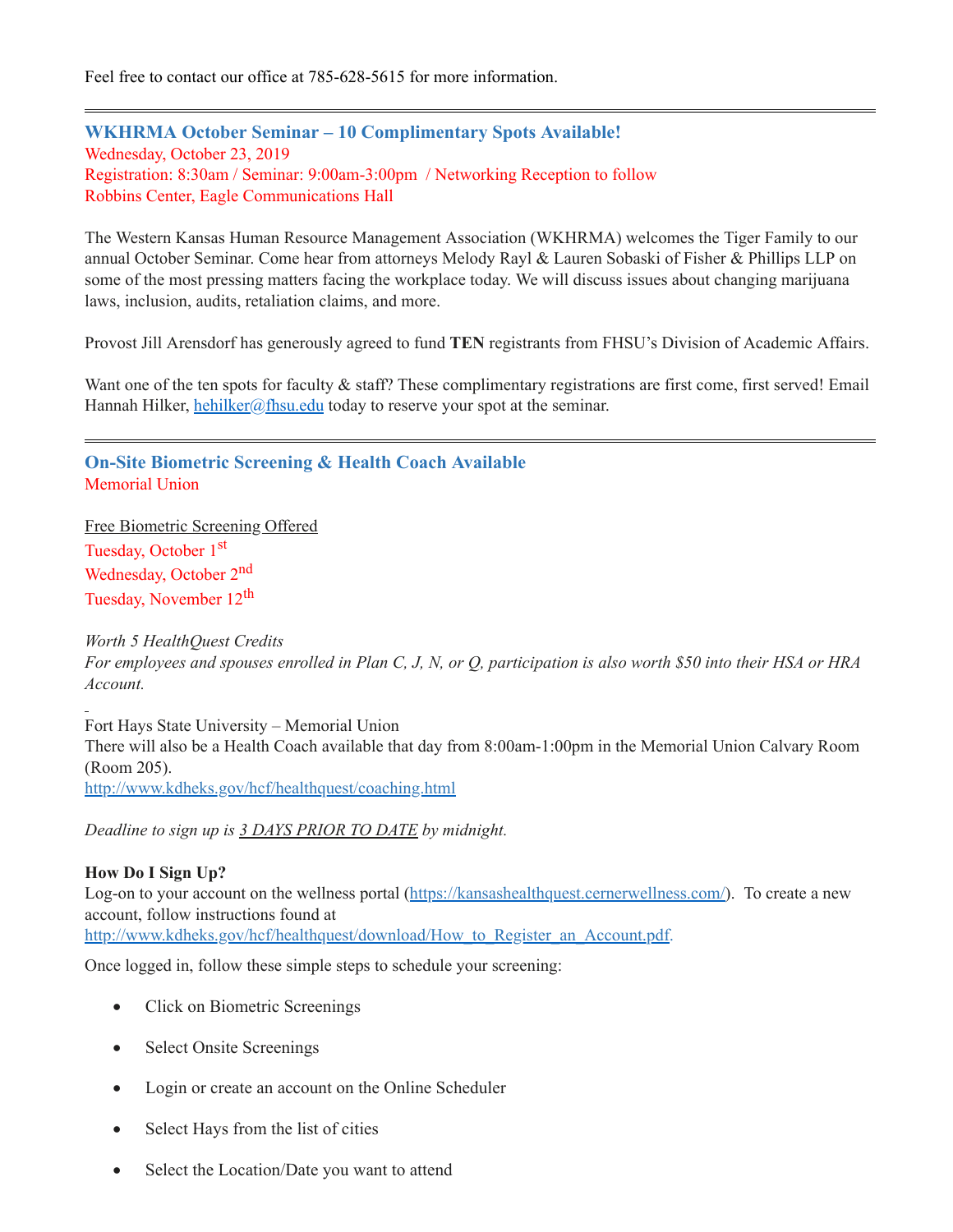Feel free to contact our office at 785-628-5615 for more information.

<span id="page-9-1"></span>**WKHRMA October Seminar – 10 Complimentary Spots Available!** Wednesday, October 23, 2019 Registration: 8:30am / Seminar: 9:00am-3:00pm / Networking Reception to follow Robbins Center, Eagle Communications Hall

The Western Kansas Human Resource Management Association (WKHRMA) welcomes the Tiger Family to our annual October Seminar. Come hear from attorneys Melody Rayl & Lauren Sobaski of Fisher & Phillips LLP on some of the most pressing matters facing the workplace today. We will discuss issues about changing marijuana laws, inclusion, audits, retaliation claims, and more.

Provost Jill Arensdorf has generously agreed to fund **TEN** registrants from FHSU's Division of Academic Affairs.

Want one of the ten spots for faculty & staff? These complimentary registrations are first come, first served! Email Hannah Hilker, [hehilker@fhsu.edu](mailto:hehilker@fhsu.edu) today to reserve your spot at the seminar.

<span id="page-9-0"></span>**On-Site Biometric Screening & Health Coach Available** Memorial Union

Free Biometric Screening Offered Tuesday, October 1<sup>st</sup> Wednesday, October 2<sup>nd</sup> Tuesday, November 12<sup>th</sup>

*Worth 5 HealthQuest Credits*

For employees and spouses enrolled in Plan C, J, N, or Q, participation is also worth \$50 into their HSA or HRA *Account.*

Fort Hays State University – Memorial Union There will also be a Health Coach available that day from 8:00am-1:00pm in the Memorial Union Calvary Room (Room 205). <http://www.kdheks.gov/hcf/healthquest/coaching.html>

*Deadline to sign up is 3 DAYS PRIOR TO DATE by midnight.*

#### **How Do I Sign Up?**

Log-on to your account on the wellness portal [\(https://kansashealthquest.cernerwellness.com/](https://kansashealthquest.cernerwellness.com/)). To create a new account, follow instructions found at [http://www.kdheks.gov/hcf/healthquest/download/How\\_to\\_Register\\_an\\_Account.pdf](http://www.kdheks.gov/hcf/healthquest/download/How_to_Register_an_Account.pdf).

Once logged in, follow these simple steps to schedule your screening:

- Click on Biometric Screenings
- Select Onsite Screenings
- Login or create an account on the Online Scheduler
- · Select Hays from the list of cities
- Select the Location/Date you want to attend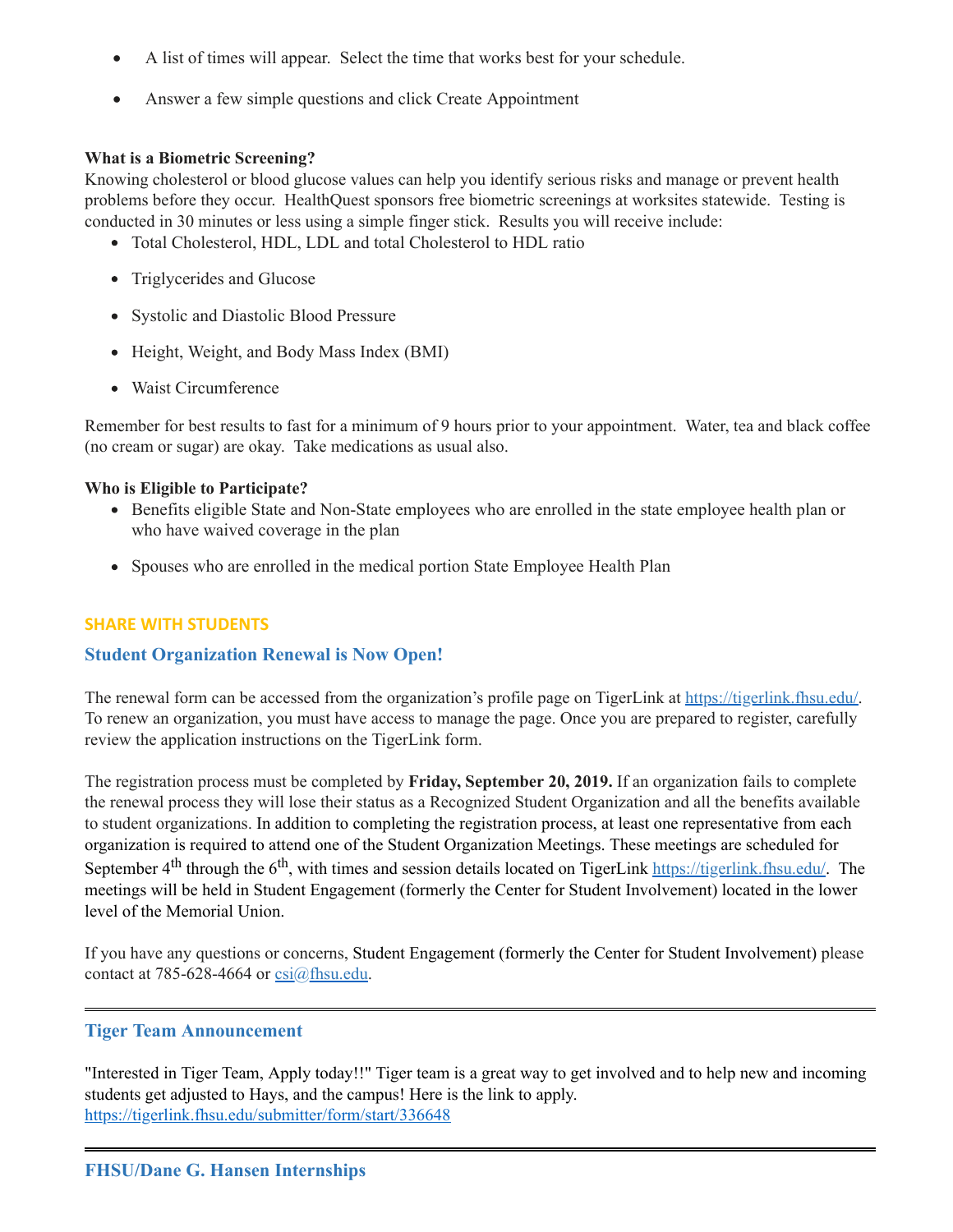- · A list of times will appear. Select the time that works best for your schedule.
- Answer a few simple questions and click Create Appointment

#### **What is a Biometric Screening?**

Knowing cholesterol or blood glucose values can help you identify serious risks and manage or prevent health problems before they occur. HealthQuest sponsors free biometric screenings at worksites statewide. Testing is conducted in 30 minutes or less using a simple finger stick. Results you will receive include:

- Total Cholesterol, HDL, LDL and total Cholesterol to HDL ratio
- Triglycerides and Glucose
- Systolic and Diastolic Blood Pressure
- Height, Weight, and Body Mass Index (BMI)
- Waist Circumference

Remember for best results to fast for a minimum of 9 hours prior to your appointment. Water, tea and black coffee (no cream or sugar) are okay. Take medications as usual also.

#### **Who is Eligible to Participate?**

- Benefits eligible State and Non-State employees who are enrolled in the state employee health plan or who have waived coverage in the plan
- <span id="page-10-0"></span>Spouses who are enrolled in the medical portion State Employee Health Plan

# **SHARE WITH STUDENTS**

# **Student Organization Renewal is Now Open!**

The renewal form can be accessed from the organization's profile page on TigerLink at [https://tigerlink.fhsu.edu/.](https://tigerlink.fhsu.edu/) To renew an organization, you must have access to manage the page. Once you are prepared to register, carefully review the application instructions on the TigerLink form.

The registration process must be completed by **Friday, September 20, 2019.** If an organization fails to complete the renewal process they will lose their status as a Recognized Student Organization and all the benefits available to student organizations. In addition to completing the registration process, at least one representative from each organization is required to attend one of the Student Organization Meetings. These meetings are scheduled for September 4<sup>th</sup> through the 6<sup>th</sup>, with times and session details located on TigerLink [https://tigerlink.fhsu.edu/.](https://tigerlink.fhsu.edu/) The meetings will be held in Student Engagement (formerly the Center for Student Involvement) located in the lower level of the Memorial Union.

If you have any questions or concerns, Student Engagement (formerly the Center for Student Involvement) please contact at 785-628-4664 or  $csi(a)$ fhsu.edu.

# <span id="page-10-2"></span><span id="page-10-1"></span>**Tiger Team Announcement**

"Interested in Tiger Team, Apply today!!" Tiger team is a great way to get involved and to help new and incoming students get adjusted to Hays, and the campus! Here is the link to apply. <https://tigerlink.fhsu.edu/submitter/form/start/336648>